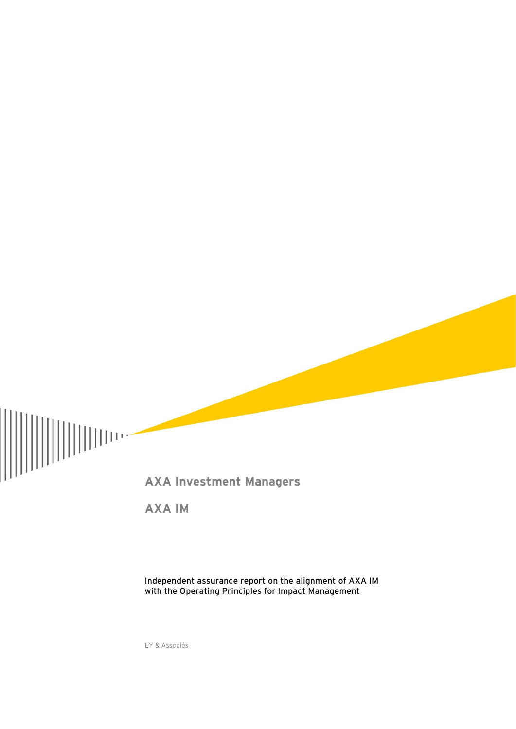

**AXA IM**

**Independent assurance report on the alignment of AXA IM with the Operating Principles for Impact Management**

EY & Associés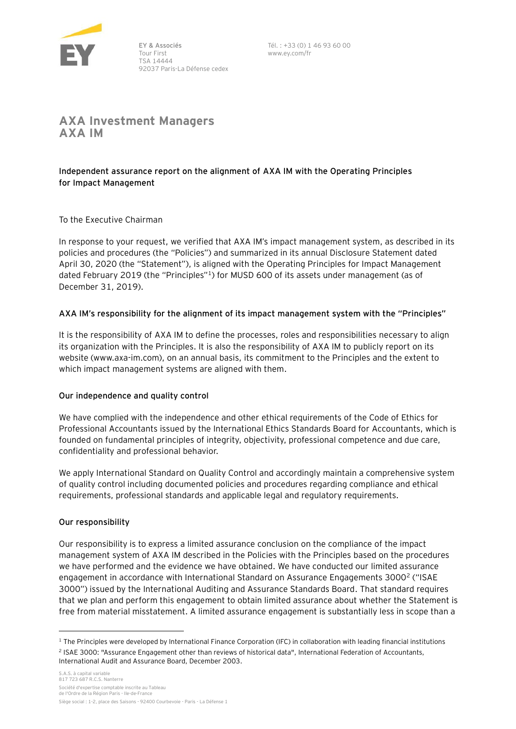

EY & Associés Tour First TSA 14444 92037 Paris-La Défense cedex Tél. : +33 (0) 1 46 93 60 00 www.ey.com/fr

**AXA Investment Managers AXA IM**

# **Independent assurance report on the alignment of AXA IM with the Operating Principles for Impact Management**

To the Executive Chairman

In response to your request, we verified that AXA IM's impact management system, as described in its policies and procedures (the "Policies") and summarized in its annual Disclosure Statement dated April 30, 2020 (the "Statement"), is aligned with the Operating Principles for Impact Management dated February 2019 (the "Principles"<sup>1</sup>) for MUSD 600 of its assets under management (as of December 31, 2019).

# **AXA IM's responsibility for the alignment of its impact management system with the "Principles"**

It is the responsibility of AXA IM to define the processes, roles and responsibilities necessary to align its organization with the Principles. It is also the responsibility of AXA IM to publicly report on its website (www.axa-im.com), on an annual basis, its commitment to the Principles and the extent to which impact management systems are aligned with them.

## **Our independence and quality control**

We have complied with the independence and other ethical requirements of the Code of Ethics for Professional Accountants issued by the International Ethics Standards Board for Accountants, which is founded on fundamental principles of integrity, objectivity, professional competence and due care, confidentiality and professional behavior.

We apply International Standard on Quality Control and accordingly maintain a comprehensive system of quality control including documented policies and procedures regarding compliance and ethical requirements, professional standards and applicable legal and regulatory requirements.

## **Our responsibility**

Our responsibility is to express a limited assurance conclusion on the compliance of the impact management system of AXA IM described in the Policies with the Principles based on the procedures we have performed and the evidence we have obtained. We have conducted our limited assurance engagement in accordance with International Standard on Assurance Engagements 3000<sup>2</sup> ("ISAE 3000") issued by the International Auditing and Assurance Standards Board. That standard requires that we plan and perform this engagement to obtain limited assurance about whether the Statement is free from material misstatement. A limited assurance engagement is substantially less in scope than a

 $1$  The Principles were developed by International Finance Corporation (IFC) in collaboration with leading financial institutions 2 ISAE 3000: "Assurance Engagement other than reviews of historical data", International Federation of Accountants, International Audit and Assurance Board, December 2003.